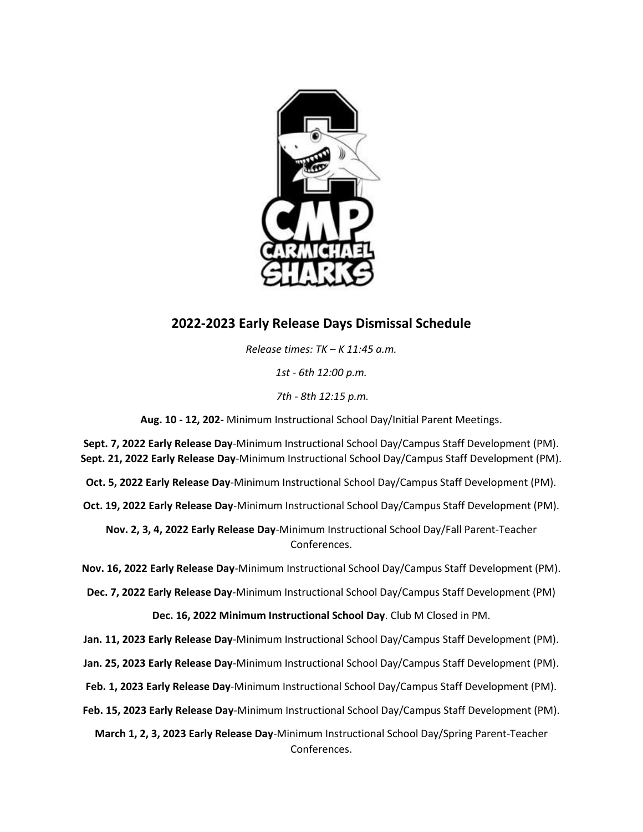

## **2022-2023 Early Release Days Dismissal Schedule**

*Release times: TK – K 11:45 a.m.*

*1st - 6th 12:00 p.m.*

*7th - 8th 12:15 p.m.*

**Aug. 10 - 12, 202-** Minimum Instructional School Day/Initial Parent Meetings.

**Sept. 7, 2022 Early Release Day**-Minimum Instructional School Day/Campus Staff Development (PM). **Sept. 21, 2022 Early Release Day**-Minimum Instructional School Day/Campus Staff Development (PM).

**Oct. 5, 2022 Early Release Day**-Minimum Instructional School Day/Campus Staff Development (PM).

**Oct. 19, 2022 Early Release Day**-Minimum Instructional School Day/Campus Staff Development (PM).

**Nov. 2, 3, 4, 2022 Early Release Day**-Minimum Instructional School Day/Fall Parent-Teacher Conferences.

**Nov. 16, 2022 Early Release Day**-Minimum Instructional School Day/Campus Staff Development (PM).

**Dec. 7, 2022 Early Release Day**-Minimum Instructional School Day/Campus Staff Development (PM)

**Dec. 16, 2022 Minimum Instructional School Day**. Club M Closed in PM.

**Jan. 11, 2023 Early Release Day**-Minimum Instructional School Day/Campus Staff Development (PM).

**Jan. 25, 2023 Early Release Day**-Minimum Instructional School Day/Campus Staff Development (PM).

**Feb. 1, 2023 Early Release Day**-Minimum Instructional School Day/Campus Staff Development (PM).

**Feb. 15, 2023 Early Release Day**-Minimum Instructional School Day/Campus Staff Development (PM).

**March 1, 2, 3, 2023 Early Release Day**-Minimum Instructional School Day/Spring Parent-Teacher Conferences.